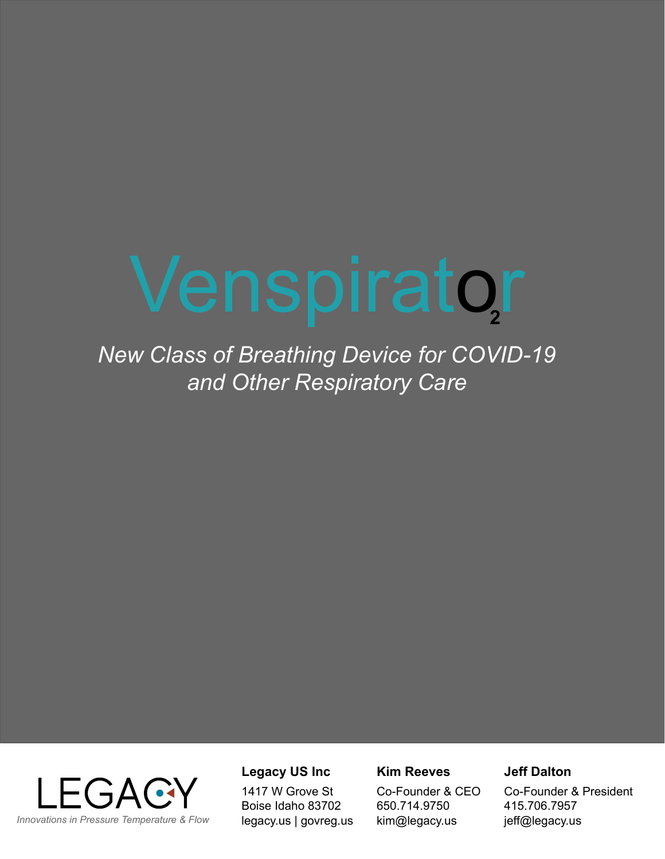# Venspirator **2**

*New Class of Breathing Device for COVID-19 and Other Respiratory Care*



#### **Legacy US Inc**

1417 W Grove St Boise Idaho 83702 legacy.us | govreg.us

#### **Kim Reeves**

Co-Founder & CEO 650.714.9750 kim@legacy.us

#### **Jeff Dalton**

Co-Founder & President 415.706.7957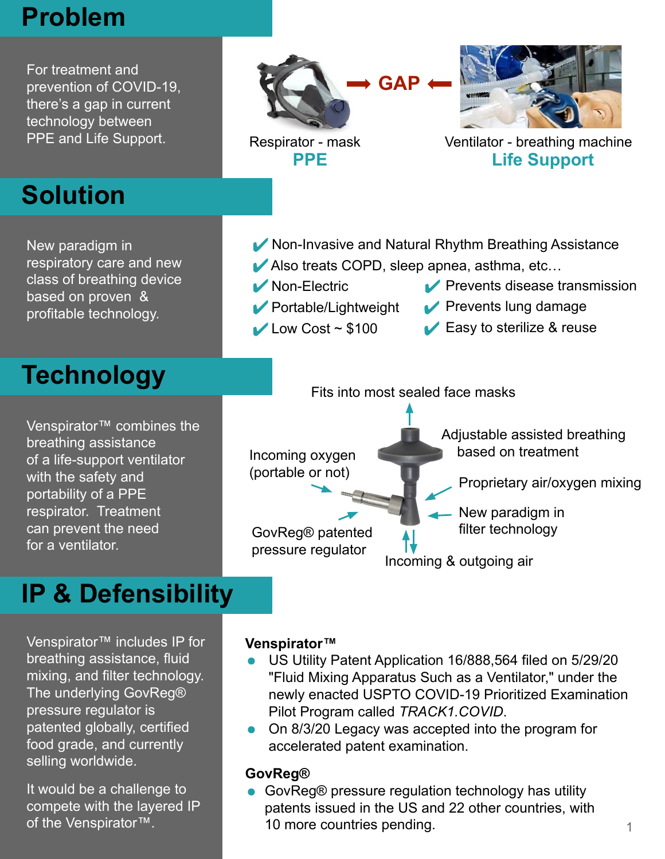## **Problem**

For treatment and prevention of COVID-19, there's a gap in current technology between PPE and Life Support.





Non-Electric

Portable/Lightweight

 $\blacktriangleright$  Low Cost ~ \$100

Respirator - mask Ventilator - breathing machine **PPE Life Support**

**Prevents disease transmission** 

**Prevents lung damage ■ Easy to sterilize & reuse** 

# **Solution**

New paradigm in respiratory care and new class of breathing device based on proven & profitable technology.

# **Technology**

Venspirator™ combines the breathing assistance of a life-support ventilator with the safety and portability of a PPE respirator. Treatment can prevent the need for a ventilator.

## Fits into most sealed face masks

K Non-Invasive and Natural Rhythm Breathing Assistance

Also treats COPD, sleep apnea, asthma, etc...

Incoming oxygen (portable or not) GovReg® patented pressure regulator Incoming & outgoing air - New paradigm in filter technology Adjustable assisted breathing based on treatment Proprietary air/oxygen mixing

## **IP & Defensibility**

Venspirator™ includes IP for breathing assistance, fluid mixing, and filter technology. The underlying GovReg® pressure regulator is patented globally, certified food grade, and currently selling worldwide.

It would be a challenge to compete with the layered IP

#### **Venspirator™**

- US Utility Patent Application 16/888,564 filed on 5/29/20 "Fluid Mixing Apparatus Such as a Ventilator," under the newly enacted USPTO COVID-19 Prioritized Examination Pilot Program called *TRACK1.COVID*.
- On 8/3/20 Legacy was accepted into the program for accelerated patent examination.

#### **GovReg®**

● GovReg® pressure regulation technology has utility patents issued in the US and 22 other countries, with of the Venspirator™. The countries pending. The Venspirator™.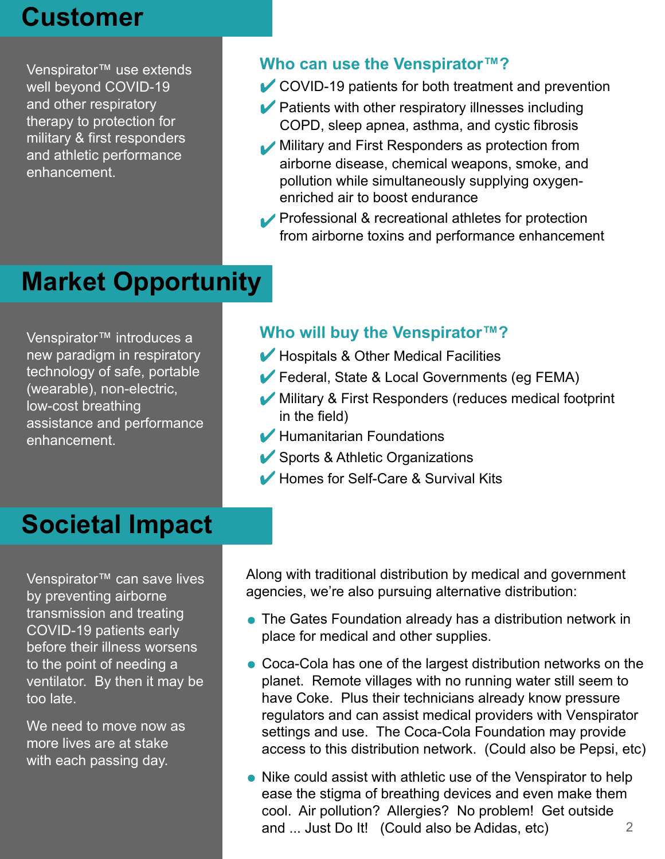## **Customer**

Venspirator™ use extends well beyond COVID-19 and other respiratory therapy to protection for military & first responders and athletic performance enhancement.

## **Who can use the Venspirator™?**

- **COVID-19 patients for both treatment and prevention**
- **Patients with other respiratory illnesses including** COPD, sleep apnea, asthma, and cystic fibrosis
- **Military and First Responders as protection from**  airborne disease, chemical weapons, smoke, and pollution while simultaneously supplying oxygen enriched air to boost endurance
- **Professional & recreational athletes for protection** from airborne toxins and performance enhancement

# **Market Opportunity**

Venspirator™ introduces a new paradigm in respiratory technology of safe, portable (wearable), non-electric, low-cost breathing assistance and performance enhancement.

## **Who will buy the Venspirator™?**

- *M* Hospitals & Other Medical Facilities
- **Federal, State & Local Governments (eg FEMA)**
- Military & First Responders (reduces medical footprint in the field)
- Humanitarian Foundations
- Sports & Athletic Organizations
- *M* Homes for Self-Care & Survival Kits

## **Societal Impact**

Venspirator™ can save lives by preventing airborne transmission and treating COVID-19 patients early before their illness worsens to the point of needing a ventilator. By then it may be too late.

We need to move now as more lives are at stake with each passing day.

Along with traditional distribution by medical and government agencies, we're also pursuing alternative distribution:

- The Gates Foundation already has a distribution network in place for medical and other supplies.
- Coca-Cola has one of the largest distribution networks on the planet. Remote villages with no running water still seem to have Coke. Plus their technicians already know pressure regulators and can assist medical providers with Venspirator settings and use. The Coca-Cola Foundation may provide access to this distribution network. (Could also be Pepsi, etc)
- Nike could assist with athletic use of the Venspirator to help ease the stigma of breathing devices and even make them cool. Air pollution? Allergies? No problem! Get outside and ... Just Do It! (Could also be Adidas, etc) 2